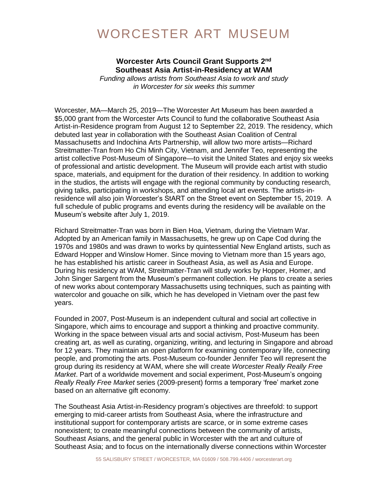## WORCESTER ART MUSEUM

### Worcester Arts Council Grant Supports 2<sup>nd</sup> **Southeast Asia Artist-in-Residency at WAM**

*Funding allows artists from Southeast Asia to work and study in Worcester for six weeks this summer*

Worcester, MA—March 25, 2019—The Worcester Art Museum has been awarded a \$5,000 grant from the Worcester Arts Council to fund the collaborative Southeast Asia Artist-in-Residence program from August 12 to September 22, 2019. The residency, which debuted last year in collaboration with the Southeast Asian Coalition of Central Massachusetts and Indochina Arts Partnership, will allow two more artists—Richard Streitmatter-Tran from Ho Chi Minh City, Vietnam, and Jennifer Teo, representing the artist collective Post-Museum of Singapore—to visit the United States and enjoy six weeks of professional and artistic development. The Museum will provide each artist with studio space, materials, and equipment for the duration of their residency. In addition to working in the studios, the artists will engage with the regional community by conducting research, giving talks, participating in workshops, and attending local art events. The artists-inresidence will also join Worcester's StART on the Street event on September 15, 2019. A full schedule of public programs and events during the residency will be available on the Museum's website after July 1, 2019.

Richard Streitmatter-Tran was born in Bien Hoa, Vietnam, during the Vietnam War. Adopted by an American family in Massachusetts, he grew up on Cape Cod during the 1970s and 1980s and was drawn to works by quintessential New England artists, such as Edward Hopper and Winslow Homer. Since moving to Vietnam more than 15 years ago, he has established his artistic career in Southeast Asia, as well as Asia and Europe. During his residency at WAM, Streitmatter-Tran will study works by Hopper, Homer, and John Singer Sargent from the Museum's permanent collection. He plans to create a series of new works about contemporary Massachusetts using techniques, such as painting with watercolor and gouache on silk, which he has developed in Vietnam over the past few years.

Founded in 2007, Post-Museum is an independent cultural and social art collective in Singapore, which aims to encourage and support a thinking and proactive community. Working in the space between visual arts and social activism, Post-Museum has been creating art, as well as curating, organizing, writing, and lecturing in Singapore and abroad for 12 years. They maintain an open platform for examining contemporary life, connecting people, and promoting the arts. Post-Museum co-founder Jennifer Teo will represent the group during its residency at WAM, where she will create *Worcester Really Really Free Market*. Part of a worldwide movement and social experiment, Post-Museum's ongoing *Really Really Free Market* series (2009-present) forms a temporary 'free' market zone based on an alternative gift economy.

The Southeast Asia Artist-in-Residency program's objectives are threefold: to support emerging to mid-career artists from Southeast Asia, where the infrastructure and institutional support for contemporary artists are scarce, or in some extreme cases nonexistent; to create meaningful connections between the community of artists, Southeast Asians, and the general public in Worcester with the art and culture of Southeast Asia; and to focus on the internationally diverse connections within Worcester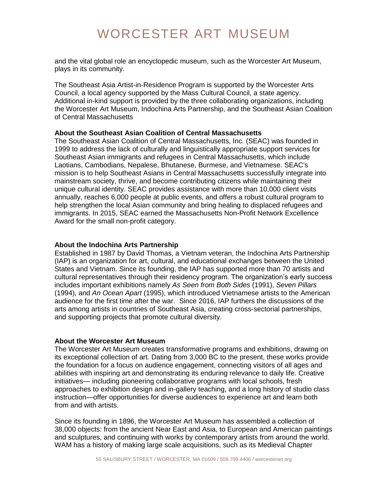# WORCESTER ART MUSEUM

and the vital global role an encyclopedic museum, such as the Worcester Art Museum, plays in its community.

The Southeast Asia Artist-in-Residence Program is supported by the Worcester Arts Council, a local agency supported by the Mass Cultural Council, a state agency. Additional in-kind support is provided by the three collaborating organizations, including the Worcester Art Museum, Indochina Arts Partnership, and the Southeast Asian Coalition of Central Massachusetts

### **About the Southeast Asian Coalition of Central Massachusetts**

The Southeast Asian Coalition of Central Massachusetts, Inc. (SEAC) was founded in 1999 to address the lack of culturally and linguistically appropriate support services for Southeast Asian immigrants and refugees in Central Massachusetts, which include Laotians, Cambodians, Nepalese, Bhutanese, Burmese, and Vietnamese. SEAC's mission is to help Southeast Asians in Central Massachusetts successfully integrate into mainstream society, thrive, and become contributing citizens while maintaining their unique cultural identity. SEAC provides assistance with more than 10,000 client visits annually, reaches 6,000 people at public events, and offers a robust cultural program to help strengthen the local Asian community and bring healing to displaced refugees and immigrants. In 2015, SEAC earned the Massachusetts Non-Profit Network Excellence Award for the small non-profit category.

#### **About the Indochina Arts Partnership**

Established in 1987 by David Thomas, a Vietnam veteran, the Indochina Arts Partnership (IAP) is an organization for art, cultural, and educational exchanges between the United States and Vietnam. Since its founding, the IAP has supported more than 70 artists and cultural representatives through their residency program. The organization's early success includes important exhibitions namely *As Seen from Both Sides* (1991), *Seven Pillars* (1994), and *An Ocean Apart* (1995), which introduced Vietnamese artists to the American audience for the first time after the war. Since 2016, IAP furthers the discussions of the arts among artists in countries of Southeast Asia, creating cross-sectorial partnerships, and supporting projects that promote cultural diversity.

#### **About the Worcester Art Museum**

The Worcester Art Museum creates transformative programs and exhibitions, drawing on its exceptional collection of art. Dating from 3,000 BC to the present, these works provide the foundation for a focus on audience engagement, connecting visitors of all ages and abilities with inspiring art and demonstrating its enduring relevance to daily life. Creative initiatives— including pioneering collaborative programs with local schools, fresh approaches to exhibition design and in-gallery teaching, and a long history of studio class instruction—offer opportunities for diverse audiences to experience art and learn both from and with artists.

Since its founding in 1896, the Worcester Art Museum has assembled a collection of 38,000 objects: from the ancient Near East and Asia, to European and American paintings and sculptures, and continuing with works by contemporary artists from around the world. WAM has a history of making large scale acquisitions, such as its Medieval Chapter